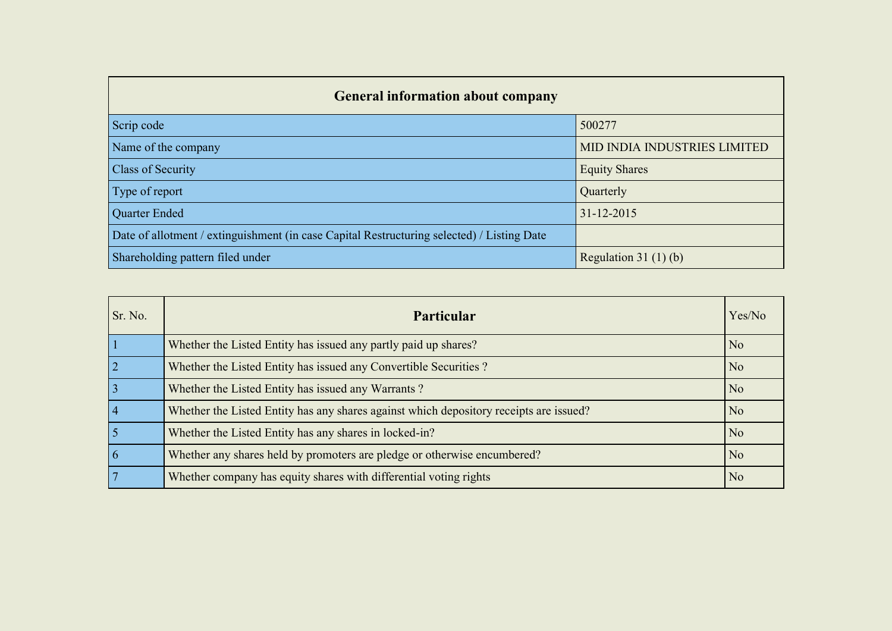| <b>General information about company</b>                                                   |                              |
|--------------------------------------------------------------------------------------------|------------------------------|
| Scrip code                                                                                 | 500277                       |
| Name of the company                                                                        | MID INDIA INDUSTRIES LIMITED |
| <b>Class of Security</b>                                                                   | <b>Equity Shares</b>         |
| Type of report                                                                             | Quarterly                    |
| <b>Quarter Ended</b>                                                                       | $31 - 12 - 2015$             |
| Date of allotment / extinguishment (in case Capital Restructuring selected) / Listing Date |                              |
| Shareholding pattern filed under                                                           | Regulation 31 $(1)(b)$       |

| Sr. No.        | <b>Particular</b>                                                                      | Yes/No         |
|----------------|----------------------------------------------------------------------------------------|----------------|
|                | Whether the Listed Entity has issued any partly paid up shares?                        | N <sub>0</sub> |
|                | Whether the Listed Entity has issued any Convertible Securities?                       | N <sub>0</sub> |
|                | Whether the Listed Entity has issued any Warrants?                                     | N <sub>0</sub> |
| $\overline{4}$ | Whether the Listed Entity has any shares against which depository receipts are issued? | N <sub>0</sub> |
| $\overline{5}$ | Whether the Listed Entity has any shares in locked-in?                                 | N <sub>o</sub> |
| 6              | Whether any shares held by promoters are pledge or otherwise encumbered?               | N <sub>0</sub> |
|                | Whether company has equity shares with differential voting rights                      | No             |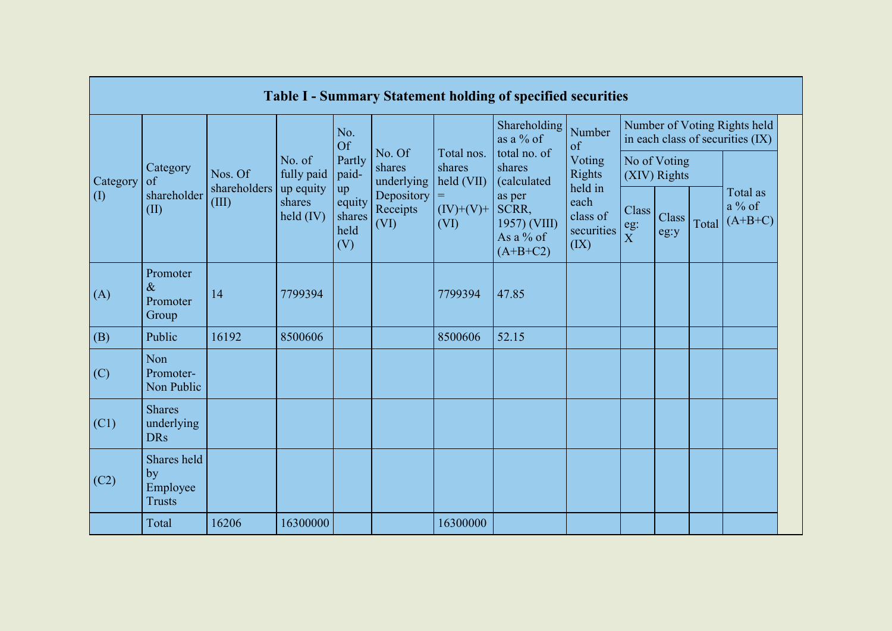|           |                                                |                                   |                       |                                       |                                |                                    | <b>Table I - Summary Statement holding of specified securities</b> |                                        |                                |                              |       |                                                                  |
|-----------|------------------------------------------------|-----------------------------------|-----------------------|---------------------------------------|--------------------------------|------------------------------------|--------------------------------------------------------------------|----------------------------------------|--------------------------------|------------------------------|-------|------------------------------------------------------------------|
|           |                                                |                                   |                       | No.<br>Of                             |                                |                                    | Shareholding<br>as a $\%$ of                                       | Number<br>of                           |                                |                              |       | Number of Voting Rights held<br>in each class of securities (IX) |
| Category  | Category<br>of                                 | Nos. Of                           | No. of<br>fully paid  | Partly<br>paid-                       | No. Of<br>shares<br>underlying | Total nos.<br>shares<br>held (VII) | total no. of<br>shares<br>(calculated                              | Voting<br>Rights<br>held in            |                                | No of Voting<br>(XIV) Rights |       |                                                                  |
| $\rm (I)$ | shareholder<br>(II)                            | shareholders   up equity<br>(III) | shares<br>held $(IV)$ | up<br>equity<br>shares<br>held<br>(V) | Depository<br>Receipts<br>(VI) | $=$<br>$(IV)+(V)+$<br>(VI)         | as per<br>SCRR,<br>1957) (VIII)<br>As a % of<br>$(A+B+C2)$         | each<br>class of<br>securities<br>(IX) | Class<br>eg:<br>$\overline{X}$ | Class<br>eg:y                | Total | Total as<br>$a\%$ of<br>$(A+B+C)$                                |
| (A)       | Promoter<br>$\&$<br>Promoter<br>Group          | 14                                | 7799394               |                                       |                                | 7799394                            | 47.85                                                              |                                        |                                |                              |       |                                                                  |
| (B)       | Public                                         | 16192                             | 8500606               |                                       |                                | 8500606                            | 52.15                                                              |                                        |                                |                              |       |                                                                  |
| (C)       | Non<br>Promoter-<br>Non Public                 |                                   |                       |                                       |                                |                                    |                                                                    |                                        |                                |                              |       |                                                                  |
| (C1)      | <b>Shares</b><br>underlying<br><b>DRs</b>      |                                   |                       |                                       |                                |                                    |                                                                    |                                        |                                |                              |       |                                                                  |
| (C2)      | Shares held<br>by<br>Employee<br><b>Trusts</b> |                                   |                       |                                       |                                |                                    |                                                                    |                                        |                                |                              |       |                                                                  |
|           | Total                                          | 16206                             | 16300000              |                                       |                                | 16300000                           |                                                                    |                                        |                                |                              |       |                                                                  |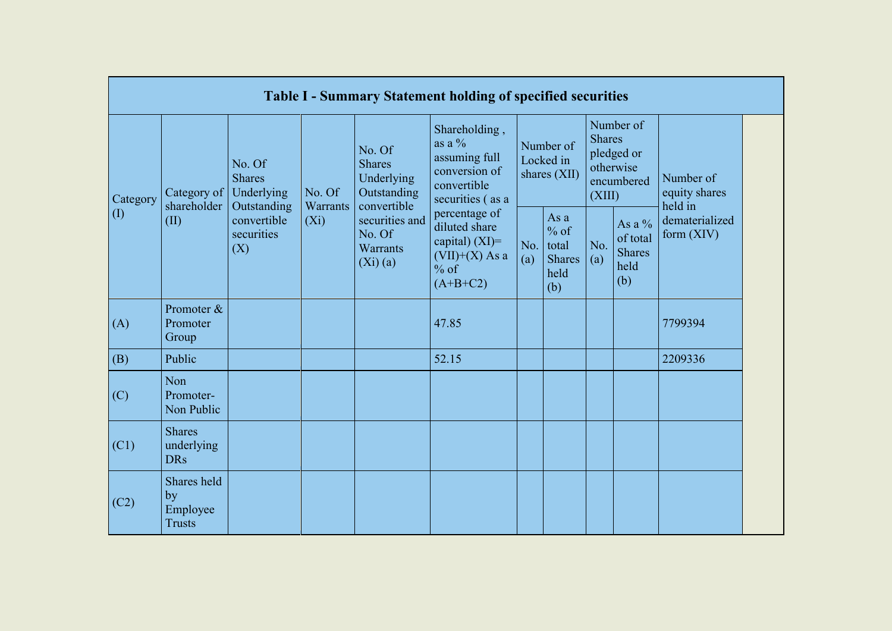|                            |                                                |                                                 |                    |                                                                     | <b>Table I - Summary Statement holding of specified securities</b>                              |            |                                                         |                         |                                                    |                                       |
|----------------------------|------------------------------------------------|-------------------------------------------------|--------------------|---------------------------------------------------------------------|-------------------------------------------------------------------------------------------------|------------|---------------------------------------------------------|-------------------------|----------------------------------------------------|---------------------------------------|
| Category                   | Category of<br>shareholder                     | No. Of<br><b>Shares</b><br>Underlying           | No. Of<br>Warrants | No. Of<br><b>Shares</b><br>Underlying<br>Outstanding<br>convertible | Shareholding,<br>as a $\%$<br>assuming full<br>conversion of<br>convertible<br>securities (as a |            | Number of<br>Locked in<br>shares $(XII)$                | <b>Shares</b><br>(XIII) | Number of<br>pledged or<br>otherwise<br>encumbered | Number of<br>equity shares<br>held in |
| $\left( \mathrm{I}\right)$ | (II)                                           | Outstanding<br>convertible<br>securities<br>(X) | $(X_i)$            | securities and<br>No. Of<br><b>Warrants</b><br>$(Xi)$ (a)           | percentage of<br>diluted share<br>capital) $(XI)=$<br>$(VII)+(X)$ As a<br>$%$ of<br>$(A+B+C2)$  | No.<br>(a) | As a<br>$%$ of<br>total<br><b>Shares</b><br>held<br>(b) | No.<br>(a)              | As a %<br>of total<br><b>Shares</b><br>held<br>(b) | dematerialized<br>form $(XIV)$        |
| (A)                        | Promoter &<br>Promoter<br>Group                |                                                 |                    |                                                                     | 47.85                                                                                           |            |                                                         |                         |                                                    | 7799394                               |
| (B)                        | Public                                         |                                                 |                    |                                                                     | 52.15                                                                                           |            |                                                         |                         |                                                    | 2209336                               |
| (C)                        | Non<br>Promoter-<br>Non Public                 |                                                 |                    |                                                                     |                                                                                                 |            |                                                         |                         |                                                    |                                       |
| (C1)                       | <b>Shares</b><br>underlying<br><b>DRs</b>      |                                                 |                    |                                                                     |                                                                                                 |            |                                                         |                         |                                                    |                                       |
| (C2)                       | Shares held<br>by<br>Employee<br><b>Trusts</b> |                                                 |                    |                                                                     |                                                                                                 |            |                                                         |                         |                                                    |                                       |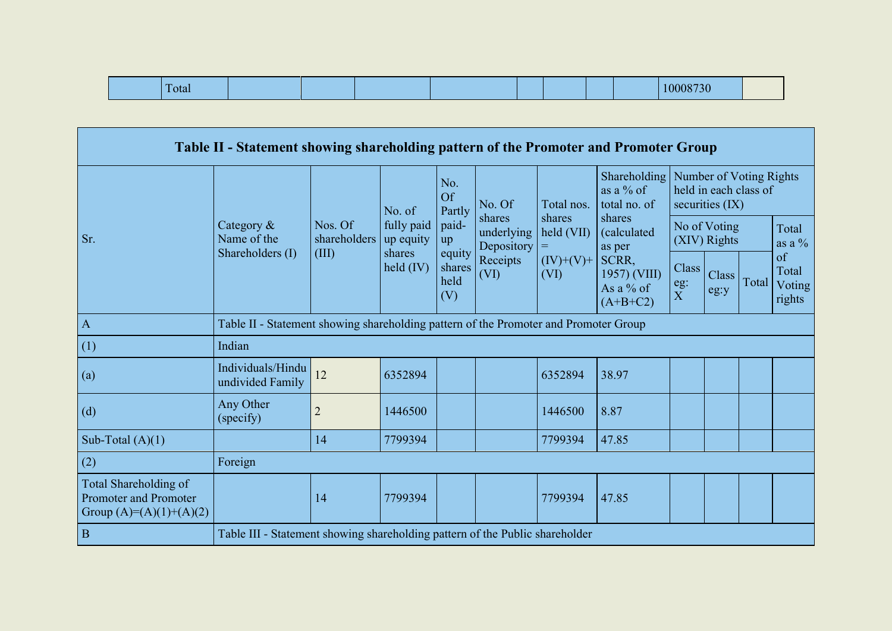| .<br>-otal |  |  |  |  |  |  | л и<br><b>Contract Contract Contract Contract Contract Contract Contract Contract Contract Contract Contract Contract Co</b> |  |
|------------|--|--|--|--|--|--|------------------------------------------------------------------------------------------------------------------------------|--|
|------------|--|--|--|--|--|--|------------------------------------------------------------------------------------------------------------------------------|--|

|                                                                                    | Table II - Statement showing shareholding pattern of the Promoter and Promoter Group |                         |                         |                                 |                                    |                      |                                                  |                                             |                              |                                                  |                                 |
|------------------------------------------------------------------------------------|--------------------------------------------------------------------------------------|-------------------------|-------------------------|---------------------------------|------------------------------------|----------------------|--------------------------------------------------|---------------------------------------------|------------------------------|--------------------------------------------------|---------------------------------|
|                                                                                    |                                                                                      |                         | No. of                  | No.<br>Of<br>Partly             | No. Of                             | Total nos.           | Shareholding<br>as a % of<br>total no. of        |                                             | securities $(IX)$            | Number of Voting Rights<br>held in each class of |                                 |
| Sr.                                                                                | Category $\&$<br>Name of the                                                         | Nos. Of<br>shareholders | fully paid<br>up equity | paid-<br>up                     | shares<br>underlying<br>Depository | shares<br>held (VII) | shares<br>(calculated<br>as per                  |                                             | No of Voting<br>(XIV) Rights |                                                  | Total<br>as a $\%$              |
|                                                                                    | Shareholders (I)                                                                     | (III)                   | shares<br>held $(IV)$   | equity<br>shares<br>held<br>(V) | Receipts<br>(VI)                   | $(IV)+(V)+$<br>(VI)  | SCRR,<br>1957) (VIII)<br>As a % of<br>$(A+B+C2)$ | Class <sup>1</sup><br>eg:<br>$\overline{X}$ | Class<br>eg:y                | Total                                            | of<br>Total<br>Voting<br>rights |
| $\overline{A}$                                                                     | Table II - Statement showing shareholding pattern of the Promoter and Promoter Group |                         |                         |                                 |                                    |                      |                                                  |                                             |                              |                                                  |                                 |
| (1)                                                                                | Indian                                                                               |                         |                         |                                 |                                    |                      |                                                  |                                             |                              |                                                  |                                 |
| (a)                                                                                | Individuals/Hindu<br>undivided Family                                                | 12                      | 6352894                 |                                 |                                    | 6352894              | 38.97                                            |                                             |                              |                                                  |                                 |
| (d)                                                                                | Any Other<br>(specify)                                                               | $\overline{2}$          | 1446500                 |                                 |                                    | 1446500              | 8.87                                             |                                             |                              |                                                  |                                 |
| Sub-Total $(A)(1)$                                                                 |                                                                                      | 14                      | 7799394                 |                                 |                                    | 7799394              | 47.85                                            |                                             |                              |                                                  |                                 |
| (2)                                                                                | Foreign                                                                              |                         |                         |                                 |                                    |                      |                                                  |                                             |                              |                                                  |                                 |
| <b>Total Shareholding of</b><br>Promoter and Promoter<br>Group $(A)=(A)(1)+(A)(2)$ |                                                                                      | 14                      | 7799394                 |                                 |                                    | 7799394              | 47.85                                            |                                             |                              |                                                  |                                 |
| $\overline{B}$                                                                     | Table III - Statement showing shareholding pattern of the Public shareholder         |                         |                         |                                 |                                    |                      |                                                  |                                             |                              |                                                  |                                 |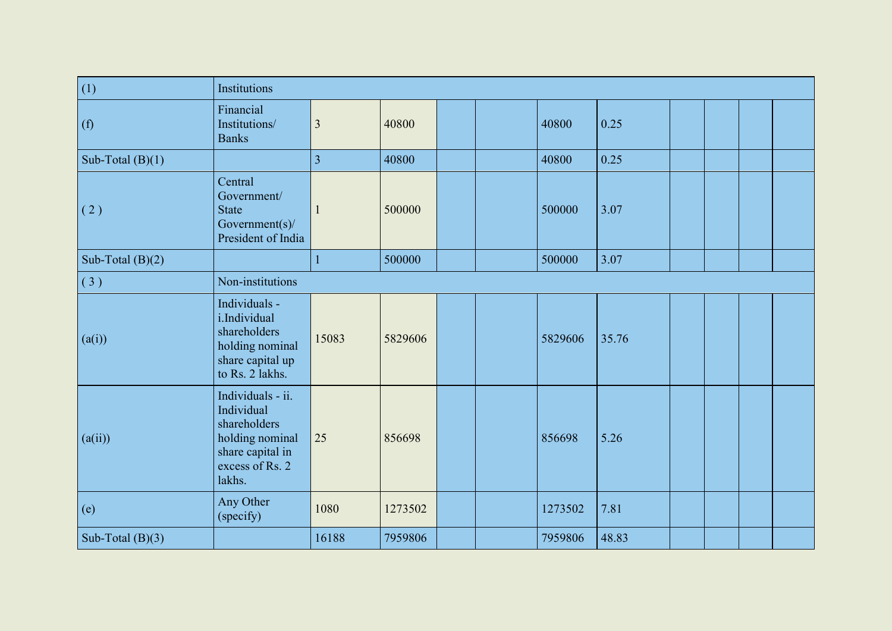| (1)                | <b>Institutions</b>                                                                                                 |                         |         |  |         |       |  |  |
|--------------------|---------------------------------------------------------------------------------------------------------------------|-------------------------|---------|--|---------|-------|--|--|
| (f)                | Financial<br>Institutions/<br><b>Banks</b>                                                                          | $\overline{\mathbf{3}}$ | 40800   |  | 40800   | 0.25  |  |  |
| Sub-Total $(B)(1)$ |                                                                                                                     | $\overline{3}$          | 40800   |  | 40800   | 0.25  |  |  |
| (2)                | Central<br>Government/<br><b>State</b><br>Government(s)/<br>President of India                                      | $\mathbf{1}$            | 500000  |  | 500000  | 3.07  |  |  |
| Sub-Total $(B)(2)$ |                                                                                                                     | $\mathbf{1}$            | 500000  |  | 500000  | 3.07  |  |  |
| (3)                | Non-institutions                                                                                                    |                         |         |  |         |       |  |  |
| (a(i))             | Individuals -<br>i.Individual<br>shareholders<br>holding nominal<br>share capital up<br>to Rs. 2 lakhs.             | 15083                   | 5829606 |  | 5829606 | 35.76 |  |  |
| (a(ii))            | Individuals - ii.<br>Individual<br>shareholders<br>holding nominal<br>share capital in<br>excess of Rs. 2<br>lakhs. | 25                      | 856698  |  | 856698  | 5.26  |  |  |
| (e)                | Any Other<br>(specify)                                                                                              | 1080                    | 1273502 |  | 1273502 | 7.81  |  |  |
| Sub-Total $(B)(3)$ |                                                                                                                     | 16188                   | 7959806 |  | 7959806 | 48.83 |  |  |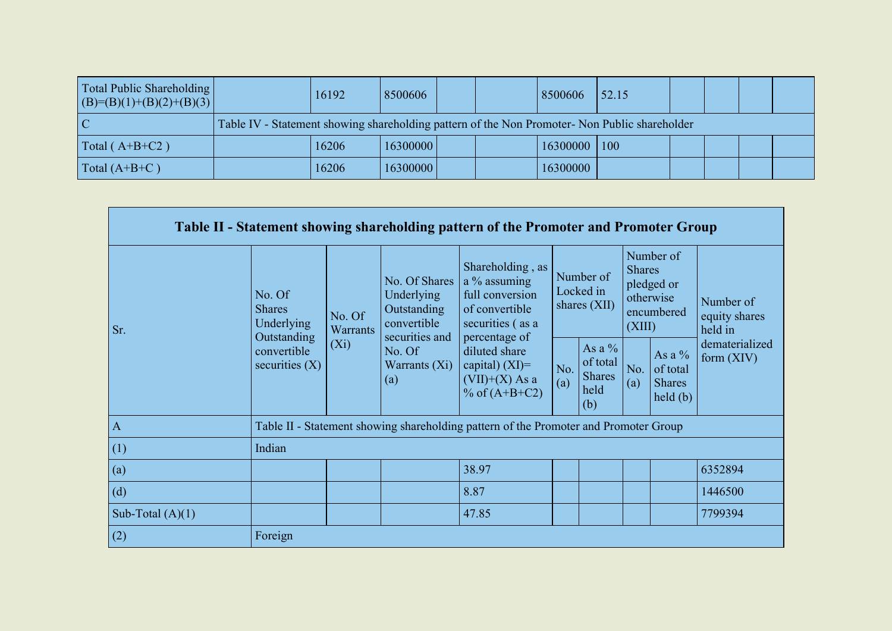| Total Public Shareholding<br>$  (B)= (B)(1)+(B)(2)+(B)(3)  $ |                                                                                               | 16192 | 8500606  |  | 8500606  | 52.15       |  |  |
|--------------------------------------------------------------|-----------------------------------------------------------------------------------------------|-------|----------|--|----------|-------------|--|--|
|                                                              | Table IV - Statement showing shareholding pattern of the Non Promoter- Non Public shareholder |       |          |  |          |             |  |  |
| Total $(A+B+C2)$                                             |                                                                                               | 16206 | 16300000 |  | 16300000 | $\vert$ 100 |  |  |
| Total $(A+B+C)$                                              |                                                                                               | 16206 | 16300000 |  | 16300000 |             |  |  |

|                    |                                                      |                           |                                                                             | Table II - Statement showing shareholding pattern of the Promoter and Promoter Group                       |            |                                                      |                         |                                                                   |                                       |
|--------------------|------------------------------------------------------|---------------------------|-----------------------------------------------------------------------------|------------------------------------------------------------------------------------------------------------|------------|------------------------------------------------------|-------------------------|-------------------------------------------------------------------|---------------------------------------|
| Sr.                | No. Of<br><b>Shares</b><br>Underlying<br>Outstanding | No. Of<br><b>Warrants</b> | No. Of Shares<br>Underlying<br>Outstanding<br>convertible<br>securities and | Shareholding, as<br>a % assuming<br>full conversion<br>of convertible<br>securities (as a<br>percentage of |            | Number of<br>Locked in<br>shares (XII)               | <b>Shares</b><br>(XIII) | Number of<br>pledged or<br>otherwise<br>encumbered                | Number of<br>equity shares<br>held in |
|                    | convertible<br>securities $(X)$                      | $(X_i)$                   | No. Of<br>Warrants $(Xi)$<br>(a)                                            | diluted share<br>capital) $(XI)=$<br>$(VII)+(X)$ As a<br>% of $(A+B+C2)$                                   | No.<br>(a) | As a $%$<br>of total<br><b>Shares</b><br>held<br>(b) | No.<br>(a)              | As a $\%$<br>of total<br><b>Shares</b><br>$\text{held}(\text{b})$ | dematerialized<br>form $(XIV)$        |
| $\Lambda$          |                                                      |                           |                                                                             | Table II - Statement showing shareholding pattern of the Promoter and Promoter Group                       |            |                                                      |                         |                                                                   |                                       |
| (1)                | Indian                                               |                           |                                                                             |                                                                                                            |            |                                                      |                         |                                                                   |                                       |
| (a)                |                                                      |                           |                                                                             | 38.97                                                                                                      |            |                                                      |                         |                                                                   | 6352894                               |
| (d)                |                                                      |                           |                                                                             | 8.87                                                                                                       |            |                                                      |                         |                                                                   | 1446500                               |
| Sub-Total $(A)(1)$ |                                                      |                           |                                                                             | 47.85                                                                                                      |            |                                                      |                         |                                                                   | 7799394                               |
| (2)                | Foreign                                              |                           |                                                                             |                                                                                                            |            |                                                      |                         |                                                                   |                                       |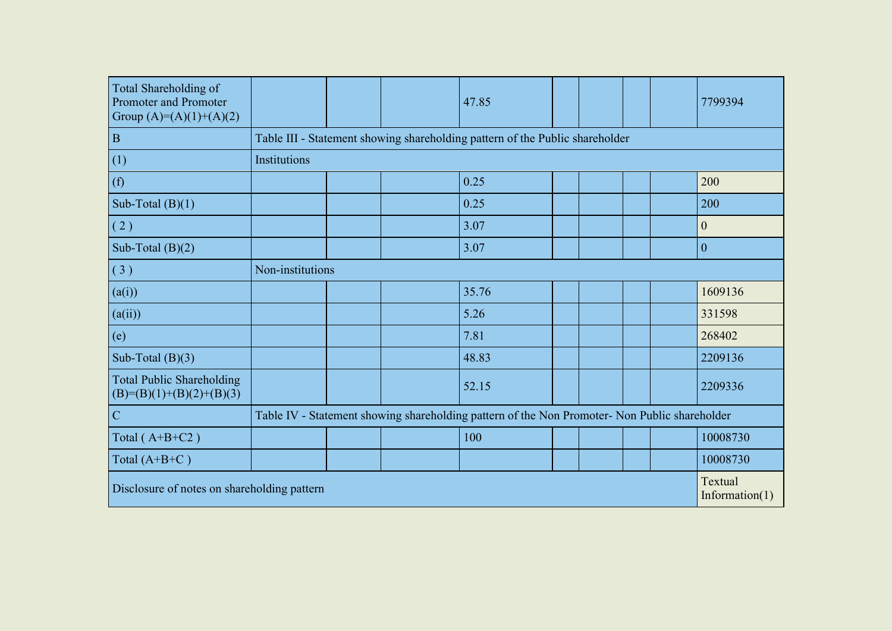| <b>Total Shareholding of</b><br>Promoter and Promoter<br>Group $(A)=(A)(1)+(A)(2)$ |                  |  | 47.85                                                                                         |  |  | 7799394                      |
|------------------------------------------------------------------------------------|------------------|--|-----------------------------------------------------------------------------------------------|--|--|------------------------------|
| $\mathbf B$                                                                        |                  |  | Table III - Statement showing shareholding pattern of the Public shareholder                  |  |  |                              |
| (1)                                                                                | Institutions     |  |                                                                                               |  |  |                              |
| (f)                                                                                |                  |  | 0.25                                                                                          |  |  | 200                          |
| Sub-Total $(B)(1)$                                                                 |                  |  | 0.25                                                                                          |  |  | 200                          |
| (2)                                                                                |                  |  | 3.07                                                                                          |  |  | $\overline{0}$               |
| Sub-Total $(B)(2)$                                                                 |                  |  | 3.07                                                                                          |  |  | $\mathbf{0}$                 |
| (3)                                                                                | Non-institutions |  |                                                                                               |  |  |                              |
| (a(i))                                                                             |                  |  | 35.76                                                                                         |  |  | 1609136                      |
| (a(ii))                                                                            |                  |  | 5.26                                                                                          |  |  | 331598                       |
| (e)                                                                                |                  |  | 7.81                                                                                          |  |  | 268402                       |
| Sub-Total $(B)(3)$                                                                 |                  |  | 48.83                                                                                         |  |  | 2209136                      |
| <b>Total Public Shareholding</b><br>$(B)=(B)(1)+(B)(2)+(B)(3)$                     |                  |  | 52.15                                                                                         |  |  | 2209336                      |
| $\overline{C}$                                                                     |                  |  | Table IV - Statement showing shareholding pattern of the Non Promoter- Non Public shareholder |  |  |                              |
| Total (A+B+C2)                                                                     |                  |  | 100                                                                                           |  |  | 10008730                     |
| Total $(A+B+C)$                                                                    |                  |  |                                                                                               |  |  | 10008730                     |
| Disclosure of notes on shareholding pattern                                        |                  |  |                                                                                               |  |  | Textual<br>Information $(1)$ |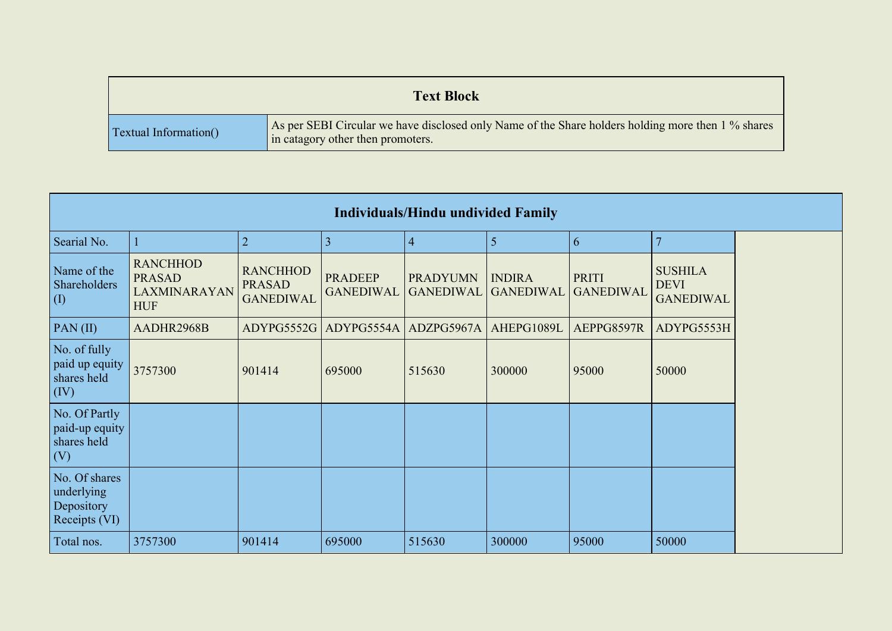|                               | <b>Text Block</b>                                                                                                                       |
|-------------------------------|-----------------------------------------------------------------------------------------------------------------------------------------|
| <b>Textual Information</b> () | As per SEBI Circular we have disclosed only Name of the Share holders holding more then 1 % shares<br>in catagory other then promoters. |

|                                                            |                                                                |                                                      |                                    | <b>Individuals/Hindu undivided Family</b> |                                   |                                  |                                                   |
|------------------------------------------------------------|----------------------------------------------------------------|------------------------------------------------------|------------------------------------|-------------------------------------------|-----------------------------------|----------------------------------|---------------------------------------------------|
| Searial No.                                                |                                                                | $\overline{2}$                                       | 3                                  | $\overline{4}$                            | 5                                 | $\overline{6}$                   |                                                   |
| Name of the<br>Shareholders<br>$\left( \mathrm{I}\right)$  | <b>RANCHHOD</b><br><b>PRASAD</b><br>LAXMINARAYAN<br><b>HUF</b> | <b>RANCHHOD</b><br><b>PRASAD</b><br><b>GANEDIWAL</b> | <b>PRADEEP</b><br><b>GANEDIWAL</b> | <b>PRADYUMN</b><br><b>GANEDIWAL</b>       | <b>INDIRA</b><br><b>GANEDIWAL</b> | <b>PRITI</b><br><b>GANEDIWAL</b> | <b>SUSHILA</b><br><b>DEVI</b><br><b>GANEDIWAL</b> |
| PAN $(II)$                                                 | AADHR2968B                                                     | ADYPG5552G                                           |                                    | ADYPG5554A ADZPG5967A                     | AHEPG1089L                        | AEPPG8597R                       | ADYPG5553H                                        |
| No. of fully<br>paid up equity<br>shares held<br>(IV)      | 3757300                                                        | 901414                                               | 695000                             | 515630                                    | 300000                            | 95000                            | 50000                                             |
| No. Of Partly<br>paid-up equity<br>shares held<br>(V)      |                                                                |                                                      |                                    |                                           |                                   |                                  |                                                   |
| No. Of shares<br>underlying<br>Depository<br>Receipts (VI) |                                                                |                                                      |                                    |                                           |                                   |                                  |                                                   |
| Total nos.                                                 | 3757300                                                        | 901414                                               | 695000                             | 515630                                    | 300000                            | 95000                            | 50000                                             |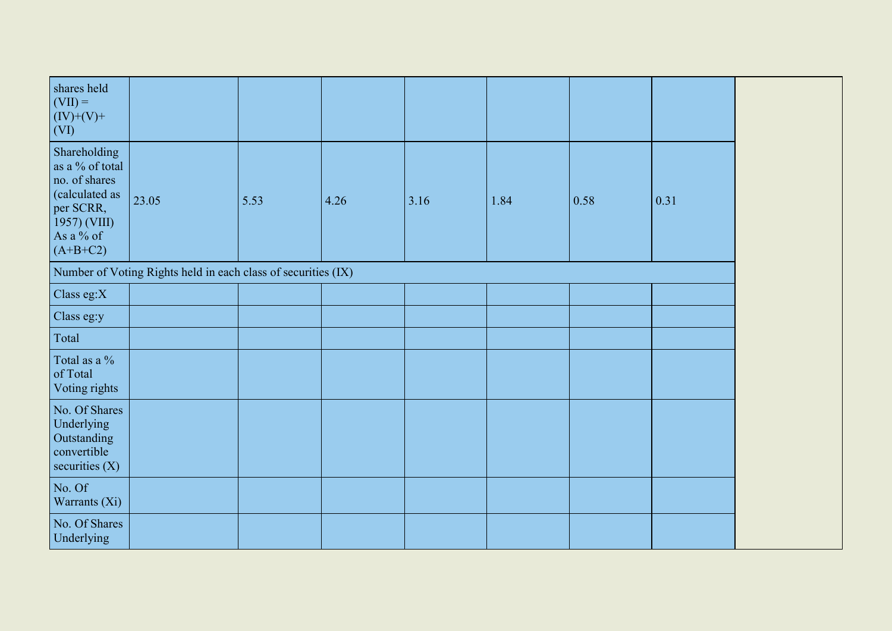| shares held<br>$\vert$ (VII) =<br>$(IV)+(V)+$<br>(VI)                                                                      |                                                               |      |      |      |      |      |      |
|----------------------------------------------------------------------------------------------------------------------------|---------------------------------------------------------------|------|------|------|------|------|------|
| Shareholding<br>as a % of total<br>no. of shares<br>(calculated as<br>per SCRR,<br>1957) (VIII)<br>As a % of<br>$(A+B+C2)$ | 23.05                                                         | 5.53 | 4.26 | 3.16 | 1.84 | 0.58 | 0.31 |
|                                                                                                                            | Number of Voting Rights held in each class of securities (IX) |      |      |      |      |      |      |
| Class eg:X                                                                                                                 |                                                               |      |      |      |      |      |      |
| Class eg:y                                                                                                                 |                                                               |      |      |      |      |      |      |
| Total                                                                                                                      |                                                               |      |      |      |      |      |      |
| Total as a %<br>of Total<br>Voting rights                                                                                  |                                                               |      |      |      |      |      |      |
| No. Of Shares<br>Underlying<br>Outstanding<br>convertible<br>securities $(X)$                                              |                                                               |      |      |      |      |      |      |
| No. Of<br>Warrants (Xi)                                                                                                    |                                                               |      |      |      |      |      |      |
| No. Of Shares<br>Underlying                                                                                                |                                                               |      |      |      |      |      |      |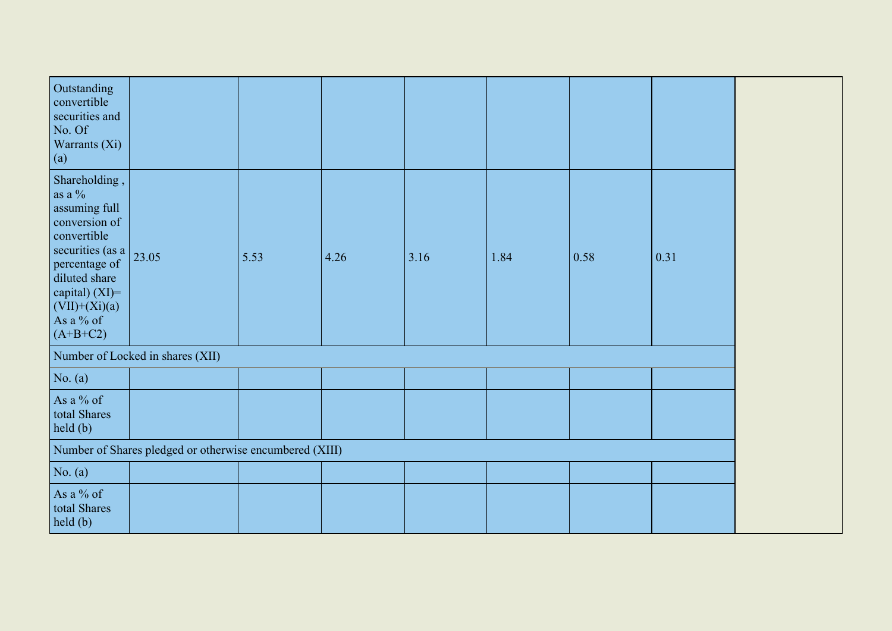| Outstanding<br>convertible<br>securities and<br>No. Of<br>Warrants (Xi)<br>(a)                                                                                                                      |                                                         |      |      |      |      |      |      |
|-----------------------------------------------------------------------------------------------------------------------------------------------------------------------------------------------------|---------------------------------------------------------|------|------|------|------|------|------|
| Shareholding,<br>as a $\%$<br>assuming full<br>conversion of<br>convertible<br>securities (as a<br>percentage of<br>diluted share<br>capital) $(XI)=$<br>$(VII)+(Xi)(a)$<br>As a % of<br>$(A+B+C2)$ | 23.05                                                   | 5.53 | 4.26 | 3.16 | 1.84 | 0.58 | 0.31 |
|                                                                                                                                                                                                     | Number of Locked in shares (XII)                        |      |      |      |      |      |      |
| No. $(a)$                                                                                                                                                                                           |                                                         |      |      |      |      |      |      |
| As a % of<br>total Shares<br>held(b)                                                                                                                                                                |                                                         |      |      |      |      |      |      |
|                                                                                                                                                                                                     | Number of Shares pledged or otherwise encumbered (XIII) |      |      |      |      |      |      |
| No. $(a)$                                                                                                                                                                                           |                                                         |      |      |      |      |      |      |
| As a % of<br>total Shares<br>held(b)                                                                                                                                                                |                                                         |      |      |      |      |      |      |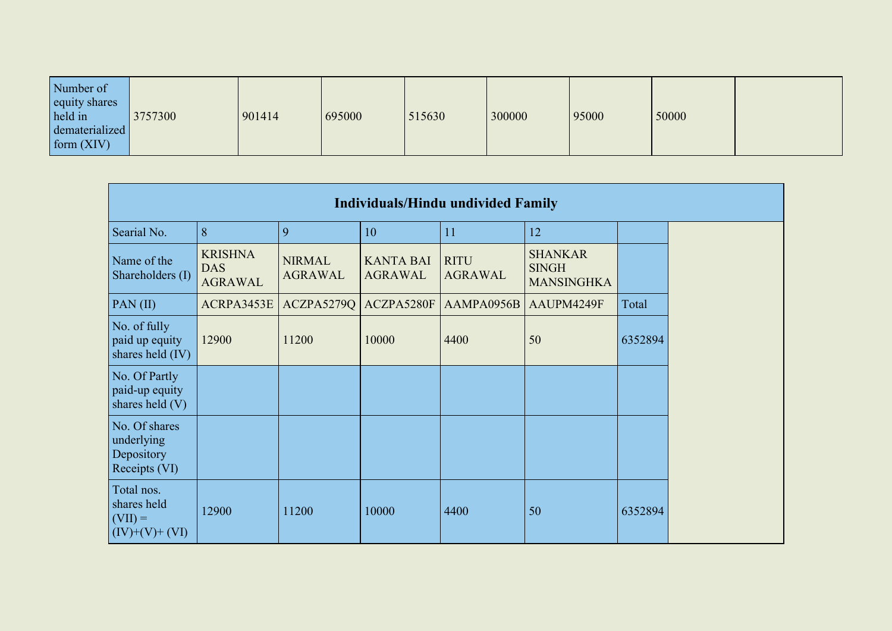| Number of<br>equity shares<br>held in<br>3757300<br>dematerialized<br>$\vert$ form $(XIV)$ | 695000<br>901414 | 515630<br>300000 | 50000<br>95000 |  |
|--------------------------------------------------------------------------------------------|------------------|------------------|----------------|--|
|--------------------------------------------------------------------------------------------|------------------|------------------|----------------|--|

| <b>Individuals/Hindu undivided Family</b>                  |                                                |                                 |                                    |                               |                                                     |         |
|------------------------------------------------------------|------------------------------------------------|---------------------------------|------------------------------------|-------------------------------|-----------------------------------------------------|---------|
| Searial No.                                                | 8                                              | 9                               | 10                                 | 11                            | 12                                                  |         |
| Name of the<br>Shareholders (I)                            | <b>KRISHNA</b><br><b>DAS</b><br><b>AGRAWAL</b> | <b>NIRMAL</b><br><b>AGRAWAL</b> | <b>KANTA BAI</b><br><b>AGRAWAL</b> | <b>RITU</b><br><b>AGRAWAL</b> | <b>SHANKAR</b><br><b>SINGH</b><br><b>MANSINGHKA</b> |         |
| $PAN$ (II)                                                 | ACRPA3453E                                     | ACZPA5279Q                      | ACZPA5280F                         | AAMPA0956B                    | AAUPM4249F                                          | Total   |
| No. of fully<br>paid up equity<br>shares held (IV)         | 12900                                          | 11200                           | 10000                              | 4400                          | 50                                                  | 6352894 |
| No. Of Partly<br>paid-up equity<br>shares held (V)         |                                                |                                 |                                    |                               |                                                     |         |
| No. Of shares<br>underlying<br>Depository<br>Receipts (VI) |                                                |                                 |                                    |                               |                                                     |         |
| Total nos.<br>shares held<br>$(VII) =$<br>$(IV)+(V)+(VI)$  | 12900                                          | 11200                           | 10000                              | 4400                          | 50                                                  | 6352894 |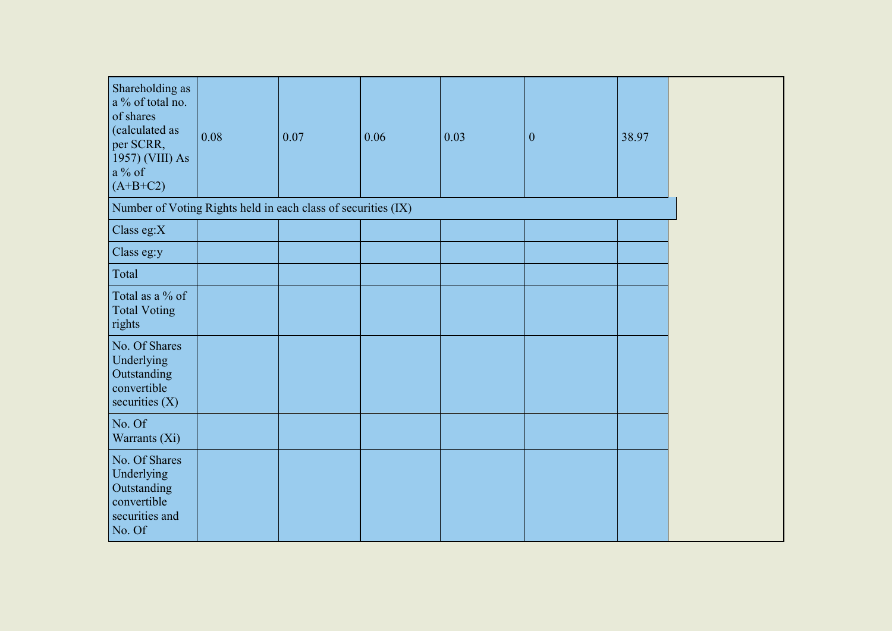| Shareholding as<br>a % of total no.<br>of shares                                      |      |      |      |      |                  |       |
|---------------------------------------------------------------------------------------|------|------|------|------|------------------|-------|
| (calculated as<br>per SCRR,<br>1957) (VIII) As<br>a % of<br>$(A+B+C2)$                | 0.08 | 0.07 | 0.06 | 0.03 | $\boldsymbol{0}$ | 38.97 |
| Number of Voting Rights held in each class of securities (IX)                         |      |      |      |      |                  |       |
| Class eg: $X$                                                                         |      |      |      |      |                  |       |
| Class eg:y                                                                            |      |      |      |      |                  |       |
| Total                                                                                 |      |      |      |      |                  |       |
| Total as a % of<br><b>Total Voting</b><br>rights                                      |      |      |      |      |                  |       |
| No. Of Shares<br>Underlying<br>Outstanding<br>convertible<br>securities $(X)$         |      |      |      |      |                  |       |
| No. Of<br>Warrants (Xi)                                                               |      |      |      |      |                  |       |
| No. Of Shares<br>Underlying<br>Outstanding<br>convertible<br>securities and<br>No. Of |      |      |      |      |                  |       |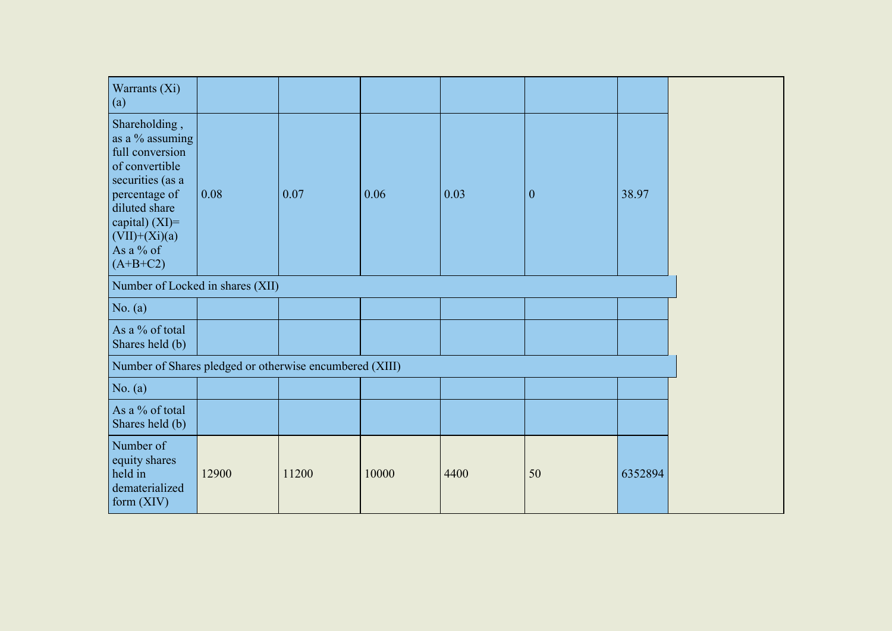| Warrants (Xi)<br>(a)                                                                                                                                                                           |       |       |       |      |              |         |
|------------------------------------------------------------------------------------------------------------------------------------------------------------------------------------------------|-------|-------|-------|------|--------------|---------|
| Shareholding,<br>as a % assuming<br>full conversion<br>of convertible<br>securities (as a<br>percentage of<br>diluted share<br>capital) $(XI)$ =<br>$(VII)+(Xi)(a)$<br>As a % of<br>$(A+B+C2)$ | 0.08  | 0.07  | 0.06  | 0.03 | $\mathbf{0}$ | 38.97   |
| Number of Locked in shares (XII)                                                                                                                                                               |       |       |       |      |              |         |
| No. $(a)$                                                                                                                                                                                      |       |       |       |      |              |         |
| As a % of total<br>Shares held (b)                                                                                                                                                             |       |       |       |      |              |         |
| Number of Shares pledged or otherwise encumbered (XIII)                                                                                                                                        |       |       |       |      |              |         |
| No. $(a)$                                                                                                                                                                                      |       |       |       |      |              |         |
| As a % of total<br>Shares held (b)                                                                                                                                                             |       |       |       |      |              |         |
| Number of<br>equity shares<br>held in<br>dematerialized<br>form $(XIV)$                                                                                                                        | 12900 | 11200 | 10000 | 4400 | 50           | 6352894 |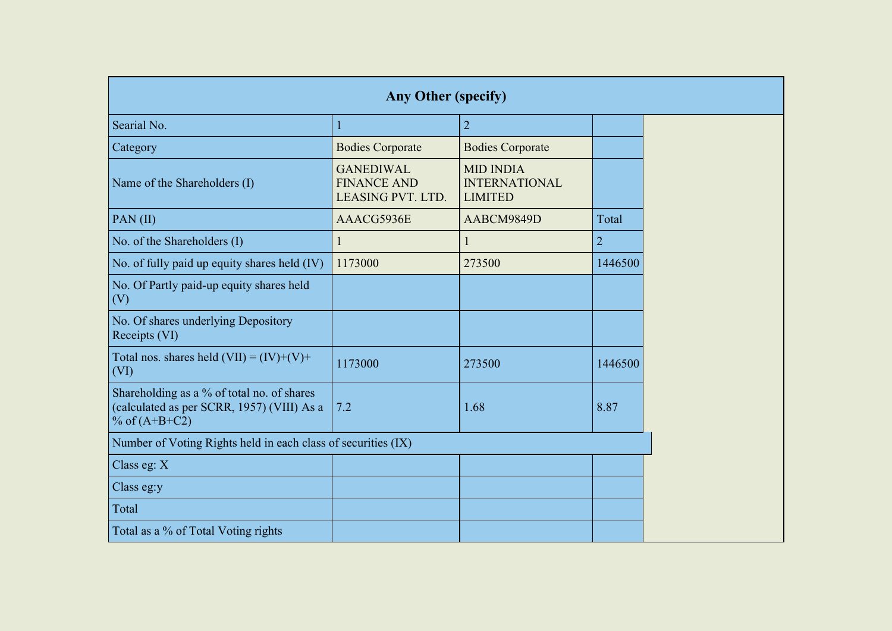| Any Other (specify)                                                                                         |                                                             |                                                            |                |  |  |  |
|-------------------------------------------------------------------------------------------------------------|-------------------------------------------------------------|------------------------------------------------------------|----------------|--|--|--|
| Searial No.                                                                                                 | ı                                                           | $\overline{2}$                                             |                |  |  |  |
| Category                                                                                                    | <b>Bodies Corporate</b>                                     | <b>Bodies Corporate</b>                                    |                |  |  |  |
| Name of the Shareholders (I)                                                                                | <b>GANEDIWAL</b><br><b>FINANCE AND</b><br>LEASING PVT. LTD. | <b>MID INDIA</b><br><b>INTERNATIONAL</b><br><b>LIMITED</b> |                |  |  |  |
| PAN(II)                                                                                                     | AAACG5936E                                                  | AABCM9849D                                                 | Total          |  |  |  |
| No. of the Shareholders (I)                                                                                 | 1                                                           |                                                            | $\overline{2}$ |  |  |  |
| No. of fully paid up equity shares held (IV)                                                                | 1173000                                                     | 273500                                                     | 1446500        |  |  |  |
| No. Of Partly paid-up equity shares held<br>(V)                                                             |                                                             |                                                            |                |  |  |  |
| No. Of shares underlying Depository<br>Receipts (VI)                                                        |                                                             |                                                            |                |  |  |  |
| Total nos. shares held $(VII) = (IV)+(V)+$<br>(VI)                                                          | 1173000                                                     | 273500                                                     | 1446500        |  |  |  |
| Shareholding as a % of total no. of shares<br>(calculated as per SCRR, 1957) (VIII) As a<br>% of $(A+B+C2)$ | 7.2                                                         | 1.68                                                       | 8.87           |  |  |  |
| Number of Voting Rights held in each class of securities (IX)                                               |                                                             |                                                            |                |  |  |  |
| Class eg: $X$                                                                                               |                                                             |                                                            |                |  |  |  |
| Class eg:y                                                                                                  |                                                             |                                                            |                |  |  |  |
| Total                                                                                                       |                                                             |                                                            |                |  |  |  |
| Total as a % of Total Voting rights                                                                         |                                                             |                                                            |                |  |  |  |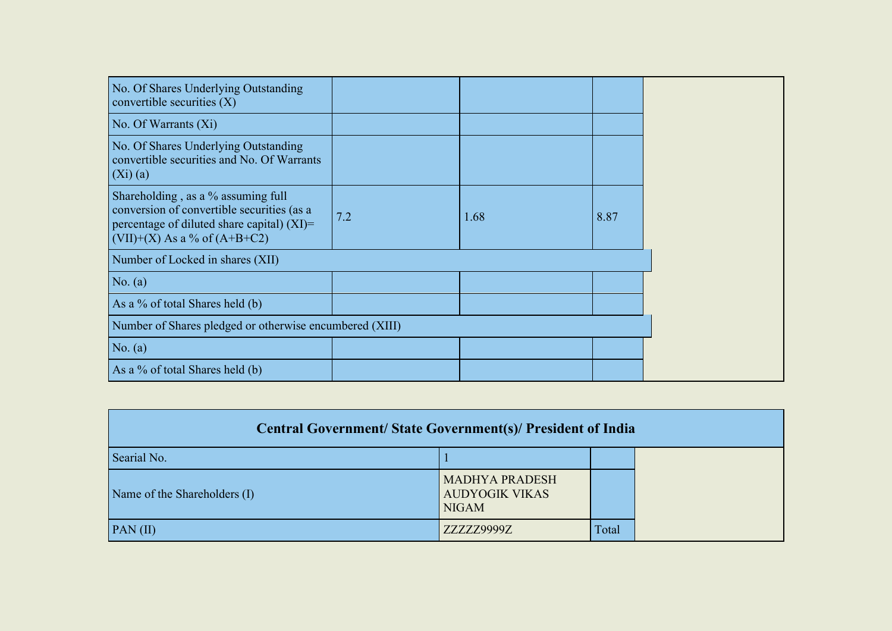| No. Of Shares Underlying Outstanding<br>convertible securities $(X)$                                                                                                  |     |      |      |
|-----------------------------------------------------------------------------------------------------------------------------------------------------------------------|-----|------|------|
| No. Of Warrants (Xi)                                                                                                                                                  |     |      |      |
| No. Of Shares Underlying Outstanding<br>convertible securities and No. Of Warrants<br>(Xi)(a)                                                                         |     |      |      |
| Shareholding, as a % assuming full<br>conversion of convertible securities (as a<br>percentage of diluted share capital) $(XI)$ =<br>$(VII)+(X)$ As a % of $(A+B+C2)$ | 7.2 | 1.68 | 8.87 |
| Number of Locked in shares (XII)                                                                                                                                      |     |      |      |
| No. $(a)$                                                                                                                                                             |     |      |      |
| As a % of total Shares held (b)                                                                                                                                       |     |      |      |
| Number of Shares pledged or otherwise encumbered (XIII)                                                                                                               |     |      |      |
| No. $(a)$                                                                                                                                                             |     |      |      |
| As a % of total Shares held (b)                                                                                                                                       |     |      |      |

| <b>Central Government/ State Government(s)/ President of India</b> |                                                                |       |  |  |
|--------------------------------------------------------------------|----------------------------------------------------------------|-------|--|--|
| Searial No.                                                        |                                                                |       |  |  |
| Name of the Shareholders (I)                                       | <b>MADHYA PRADESH</b><br><b>AUDYOGIK VIKAS</b><br><b>NIGAM</b> |       |  |  |
| PAN(II)                                                            | ZZZZZ9999Z                                                     | Total |  |  |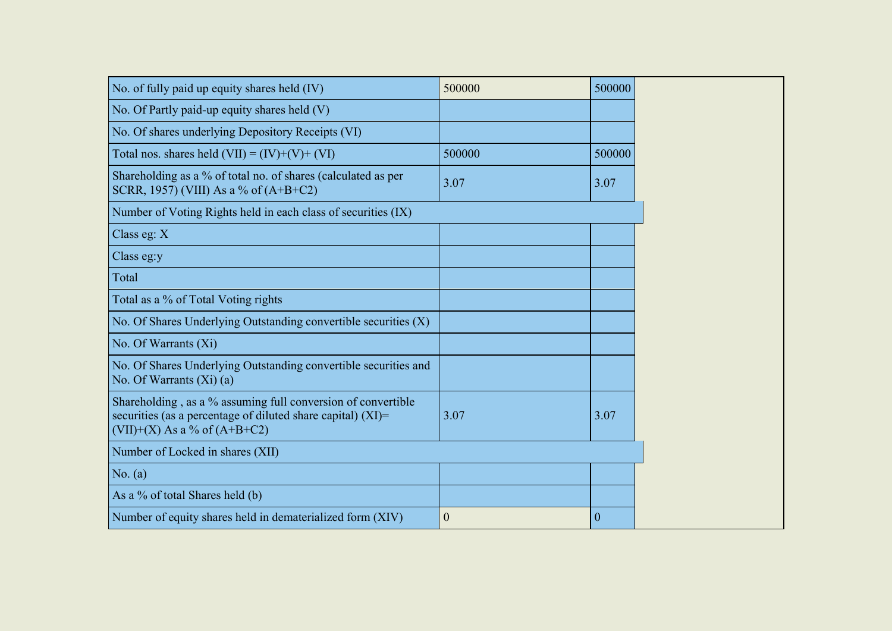| No. of fully paid up equity shares held (IV)                                                                                                                       | 500000           | 500000       |
|--------------------------------------------------------------------------------------------------------------------------------------------------------------------|------------------|--------------|
| No. Of Partly paid-up equity shares held (V)                                                                                                                       |                  |              |
| No. Of shares underlying Depository Receipts (VI)                                                                                                                  |                  |              |
| Total nos. shares held $(VII) = (IV)+(V)+(VI)$                                                                                                                     | 500000           | 500000       |
| Shareholding as a % of total no. of shares (calculated as per<br>SCRR, 1957) (VIII) As a % of (A+B+C2)                                                             | 3.07             | 3.07         |
| Number of Voting Rights held in each class of securities (IX)                                                                                                      |                  |              |
| Class eg: X                                                                                                                                                        |                  |              |
| Class eg:y                                                                                                                                                         |                  |              |
| Total                                                                                                                                                              |                  |              |
| Total as a % of Total Voting rights                                                                                                                                |                  |              |
| No. Of Shares Underlying Outstanding convertible securities (X)                                                                                                    |                  |              |
| No. Of Warrants (Xi)                                                                                                                                               |                  |              |
| No. Of Shares Underlying Outstanding convertible securities and<br>No. Of Warrants $(Xi)$ (a)                                                                      |                  |              |
| Shareholding, as a % assuming full conversion of convertible<br>securities (as a percentage of diluted share capital) $(XI)$ =<br>$(VII)+(X)$ As a % of $(A+B+C2)$ | 3.07             | 3.07         |
| Number of Locked in shares (XII)                                                                                                                                   |                  |              |
| No. (a)                                                                                                                                                            |                  |              |
| As a % of total Shares held (b)                                                                                                                                    |                  |              |
| Number of equity shares held in dematerialized form (XIV)                                                                                                          | $\boldsymbol{0}$ | $\mathbf{0}$ |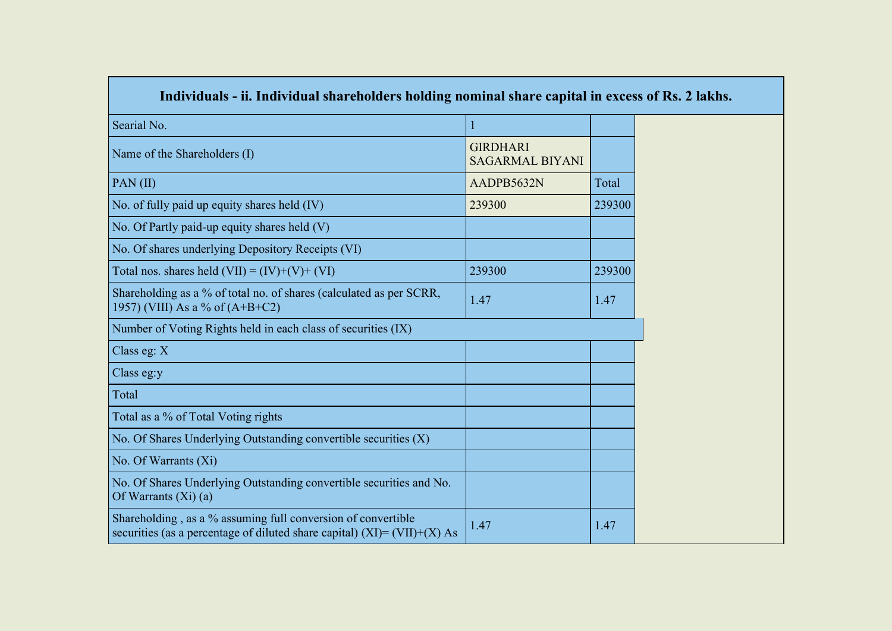| Individuals - ii. Individual shareholders holding nominal share capital in excess of Rs. 2 lakhs.                                           |                                           |        |  |  |
|---------------------------------------------------------------------------------------------------------------------------------------------|-------------------------------------------|--------|--|--|
| Searial No.                                                                                                                                 | $\mathbf{1}$                              |        |  |  |
| Name of the Shareholders (I)                                                                                                                | <b>GIRDHARI</b><br><b>SAGARMAL BIYANI</b> |        |  |  |
| $PAN$ (II)                                                                                                                                  | AADPB5632N                                | Total  |  |  |
| No. of fully paid up equity shares held (IV)                                                                                                | 239300                                    | 239300 |  |  |
| No. Of Partly paid-up equity shares held (V)                                                                                                |                                           |        |  |  |
| No. Of shares underlying Depository Receipts (VI)                                                                                           |                                           |        |  |  |
| Total nos. shares held $(VII) = (IV)+(V)+(VI)$                                                                                              | 239300                                    | 239300 |  |  |
| Shareholding as a % of total no. of shares (calculated as per SCRR,<br>1957) (VIII) As a % of $(A+B+C2)$                                    | 1.47                                      | 1.47   |  |  |
| Number of Voting Rights held in each class of securities (IX)                                                                               |                                           |        |  |  |
| Class eg: X                                                                                                                                 |                                           |        |  |  |
| Class eg:y                                                                                                                                  |                                           |        |  |  |
| Total                                                                                                                                       |                                           |        |  |  |
| Total as a % of Total Voting rights                                                                                                         |                                           |        |  |  |
| No. Of Shares Underlying Outstanding convertible securities $(X)$                                                                           |                                           |        |  |  |
| No. Of Warrants (Xi)                                                                                                                        |                                           |        |  |  |
| No. Of Shares Underlying Outstanding convertible securities and No.<br>Of Warrants $(X_i)$ (a)                                              |                                           |        |  |  |
| Shareholding, as a % assuming full conversion of convertible<br>securities (as a percentage of diluted share capital) $(XI) = (VII)+(X) As$ | 1.47                                      | 1.47   |  |  |